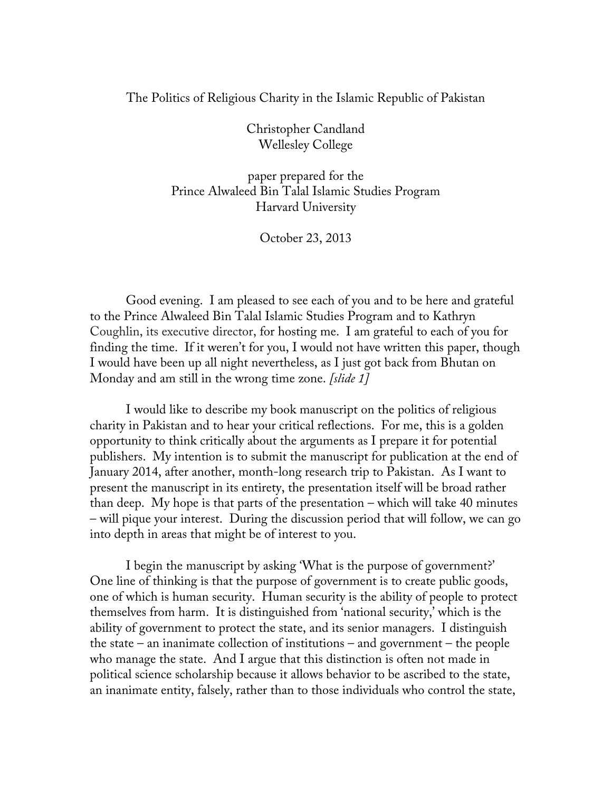## The Politics of Religious Charity in the Islamic Republic of Pakistan

Christopher Candland Wellesley College

paper prepared for the Prince Alwaleed Bin Talal Islamic Studies Program Harvard University

October 23, 2013

Good evening. I am pleased to see each of you and to be here and grateful to the Prince Alwaleed Bin Talal Islamic Studies Program and to Kathryn Coughlin, its executive director, for hosting me. I am grateful to each of you for finding the time. If it weren't for you, I would not have written this paper, though I would have been up all night nevertheless, as I just got back from Bhutan on Monday and am still in the wrong time zone. *[slide 1]*

I would like to describe my book manuscript on the politics of religious charity in Pakistan and to hear your critical reflections. For me, this is a golden opportunity to think critically about the arguments as I prepare it for potential publishers. My intention is to submit the manuscript for publication at the end of January 2014, after another, month-long research trip to Pakistan. As I want to present the manuscript in its entirety, the presentation itself will be broad rather than deep. My hope is that parts of the presentation – which will take 40 minutes – will pique your interest. During the discussion period that will follow, we can go into depth in areas that might be of interest to you.

I begin the manuscript by asking 'What is the purpose of government?' One line of thinking is that the purpose of government is to create public goods, one of which is human security. Human security is the ability of people to protect themselves from harm. It is distinguished from 'national security,' which is the ability of government to protect the state, and its senior managers. I distinguish the state – an inanimate collection of institutions – and government – the people who manage the state. And I argue that this distinction is often not made in political science scholarship because it allows behavior to be ascribed to the state, an inanimate entity, falsely, rather than to those individuals who control the state,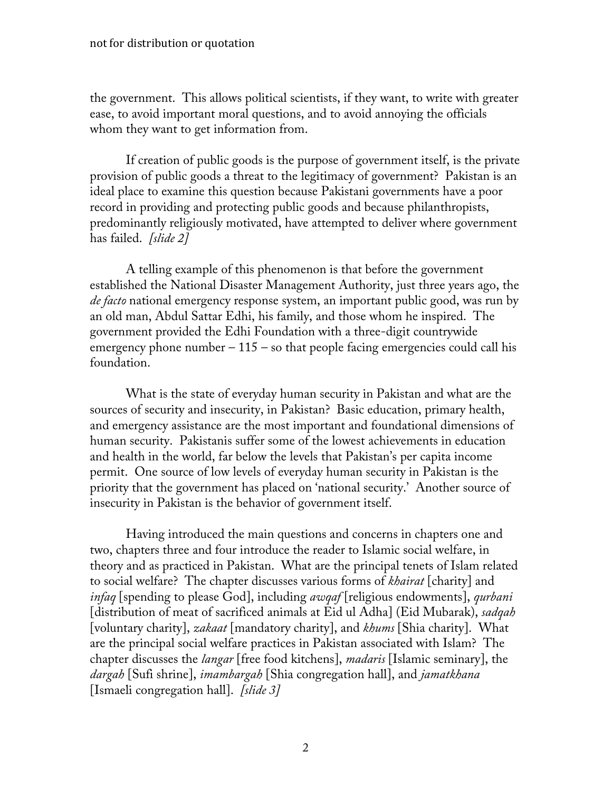the government. This allows political scientists, if they want, to write with greater ease, to avoid important moral questions, and to avoid annoying the officials whom they want to get information from.

If creation of public goods is the purpose of government itself, is the private provision of public goods a threat to the legitimacy of government? Pakistan is an ideal place to examine this question because Pakistani governments have a poor record in providing and protecting public goods and because philanthropists, predominantly religiously motivated, have attempted to deliver where government has failed. *[slide 2]* 

A telling example of this phenomenon is that before the government established the National Disaster Management Authority, just three years ago, the *de facto* national emergency response system, an important public good, was run by an old man, Abdul Sattar Edhi, his family, and those whom he inspired. The government provided the Edhi Foundation with a three-digit countrywide emergency phone number  $-115$  – so that people facing emergencies could call his foundation.

What is the state of everyday human security in Pakistan and what are the sources of security and insecurity, in Pakistan? Basic education, primary health, and emergency assistance are the most important and foundational dimensions of human security. Pakistanis suffer some of the lowest achievements in education and health in the world, far below the levels that Pakistan's per capita income permit. One source of low levels of everyday human security in Pakistan is the priority that the government has placed on 'national security.' Another source of insecurity in Pakistan is the behavior of government itself.

Having introduced the main questions and concerns in chapters one and two, chapters three and four introduce the reader to Islamic social welfare, in theory and as practiced in Pakistan. What are the principal tenets of Islam related to social welfare? The chapter discusses various forms of *khairat* [charity] and *infaq* [spending to please God], including *awqaf* [religious endowments], *qurbani*  [distribution of meat of sacrificed animals at Eid ul Adha] (Eid Mubarak), *sadqah*  [voluntary charity], *zakaat* [mandatory charity], and *khums* [Shia charity]. What are the principal social welfare practices in Pakistan associated with Islam? The chapter discusses the *langar* [free food kitchens], *madaris* [Islamic seminary], the *dargah* [Sufi shrine], *imambargah* [Shia congregation hall], and *jamatkhana* [Ismaeli congregation hall]. *[slide 3]*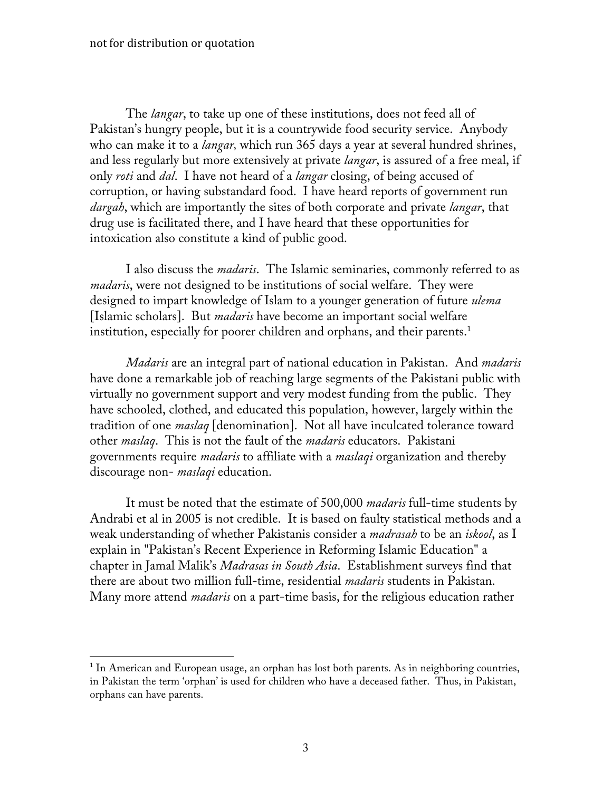The *langar*, to take up one of these institutions, does not feed all of Pakistan's hungry people, but it is a countrywide food security service. Anybody who can make it to a *langar,* which run 365 days a year at several hundred shrines, and less regularly but more extensively at private *langar*, is assured of a free meal, if only *roti* and *dal*. I have not heard of a *langar* closing, of being accused of corruption, or having substandard food. I have heard reports of government run *dargah*, which are importantly the sites of both corporate and private *langar*, that drug use is facilitated there, and I have heard that these opportunities for intoxication also constitute a kind of public good.

I also discuss the *madaris*. The Islamic seminaries, commonly referred to as *madaris*, were not designed to be institutions of social welfare. They were designed to impart knowledge of Islam to a younger generation of future *ulema*  [Islamic scholars]. But *madaris* have become an important social welfare institution, especially for poorer children and orphans, and their parents. $^1$ 

*Madaris* are an integral part of national education in Pakistan. And *madaris*  have done a remarkable job of reaching large segments of the Pakistani public with virtually no government support and very modest funding from the public. They have schooled, clothed, and educated this population, however, largely within the tradition of one *maslaq* [denomination]. Not all have inculcated tolerance toward other *maslaq*. This is not the fault of the *madaris* educators. Pakistani governments require *madaris* to affiliate with a *maslaqi* organization and thereby discourage non- *maslaqi* education.

It must be noted that the estimate of 500,000 *madaris* full-time students by Andrabi et al in 2005 is not credible. It is based on faulty statistical methods and a weak understanding of whether Pakistanis consider a *madrasah* to be an *iskool*, as I explain in "Pakistan's Recent Experience in Reforming Islamic Education" a chapter in Jamal Malik's *Madrasas in South Asia*. Establishment surveys find that there are about two million full-time, residential *madaris* students in Pakistan. Many more attend *madaris* on a part-time basis, for the religious education rather

<sup>&</sup>lt;sup>1</sup> In American and European usage, an orphan has lost both parents. As in neighboring countries, in Pakistan the term 'orphan' is used for children who have a deceased father. Thus, in Pakistan, orphans can have parents.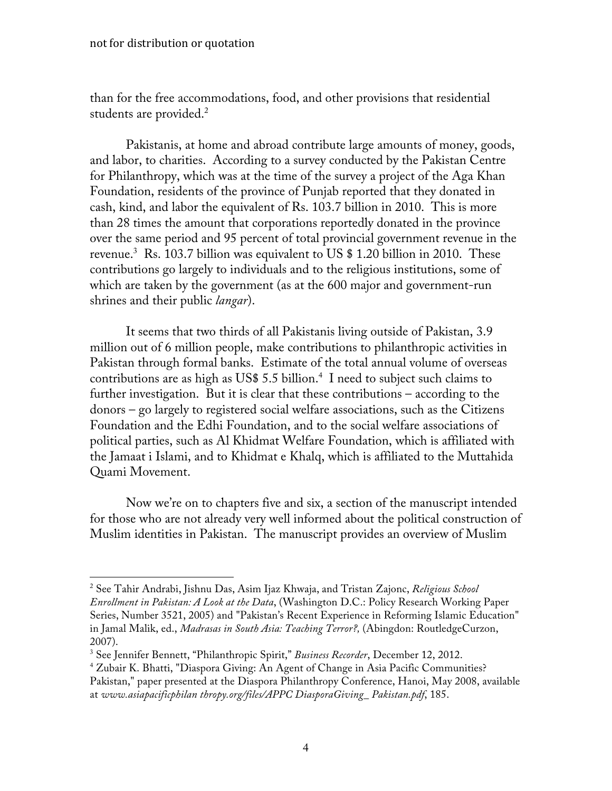than for the free accommodations, food, and other provisions that residential students are provided.<sup>2</sup>

Pakistanis, at home and abroad contribute large amounts of money, goods, and labor, to charities. According to a survey conducted by the Pakistan Centre for Philanthropy, which was at the time of the survey a project of the Aga Khan Foundation, residents of the province of Punjab reported that they donated in cash, kind, and labor the equivalent of Rs. 103.7 billion in 2010. This is more than 28 times the amount that corporations reportedly donated in the province over the same period and 95 percent of total provincial government revenue in the revenue. $^3$  Rs. 103.7 billion was equivalent to US \$ 1.20 billion in 2010. These contributions go largely to individuals and to the religious institutions, some of which are taken by the government (as at the 600 major and government-run shrines and their public *langar*).

It seems that two thirds of all Pakistanis living outside of Pakistan, 3.9 million out of 6 million people, make contributions to philanthropic activities in Pakistan through formal banks. Estimate of the total annual volume of overseas contributions are as high as US\$ 5.5 billion. $4\,$  I need to subject such claims to further investigation. But it is clear that these contributions – according to the donors – go largely to registered social welfare associations, such as the Citizens Foundation and the Edhi Foundation, and to the social welfare associations of political parties, such as Al Khidmat Welfare Foundation, which is affiliated with the Jamaat i Islami, and to Khidmat e Khalq, which is affiliated to the Muttahida Quami Movement.

Now we're on to chapters five and six, a section of the manuscript intended for those who are not already very well informed about the political construction of Muslim identities in Pakistan. The manuscript provides an overview of Muslim

<sup>2</sup> See Tahir Andrabi, Jishnu Das, Asim Ijaz Khwaja, and Tristan Zajonc, *Religious School Enrollment in Pakistan: A Look at the Data*, (Washington D.C.: Policy Research Working Paper Series, Number 3521, 2005) and "Pakistan's Recent Experience in Reforming Islamic Education" in Jamal Malik, ed., *Madrasas in South Asia: Teaching Terror?,* (Abingdon: RoutledgeCurzon, 2007).

<sup>3</sup> See Jennifer Bennett, "Philanthropic Spirit," *Business Recorder*, December 12, 2012.

<sup>4</sup> Zubair K. Bhatti, "Diaspora Giving: An Agent of Change in Asia Pacific Communities? Pakistan," paper presented at the Diaspora Philanthropy Conference, Hanoi, May 2008, available at *www.asiapacificphilan thropy.org/files/APPC DiasporaGiving\_ Pakistan.pdf*, 185.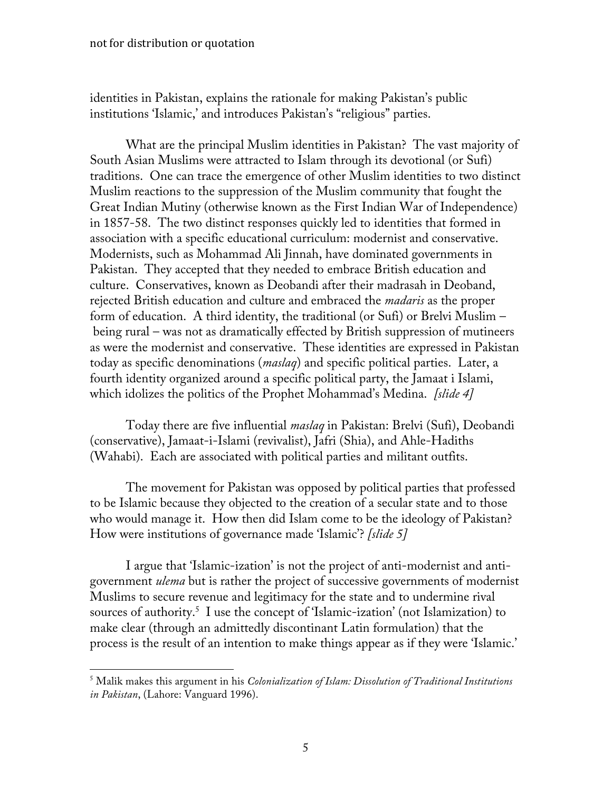identities in Pakistan, explains the rationale for making Pakistan's public institutions 'Islamic,' and introduces Pakistan's "religious" parties.

What are the principal Muslim identities in Pakistan? The vast majority of South Asian Muslims were attracted to Islam through its devotional (or Sufi) traditions. One can trace the emergence of other Muslim identities to two distinct Muslim reactions to the suppression of the Muslim community that fought the Great Indian Mutiny (otherwise known as the First Indian War of Independence) in 1857-58. The two distinct responses quickly led to identities that formed in association with a specific educational curriculum: modernist and conservative. Modernists, such as Mohammad Ali Jinnah, have dominated governments in Pakistan. They accepted that they needed to embrace British education and culture. Conservatives, known as Deobandi after their madrasah in Deoband, rejected British education and culture and embraced the *madaris* as the proper form of education. A third identity, the traditional (or Sufi) or Brelvi Muslim – being rural – was not as dramatically effected by British suppression of mutineers as were the modernist and conservative. These identities are expressed in Pakistan today as specific denominations (*maslaq*) and specific political parties. Later, a fourth identity organized around a specific political party, the Jamaat i Islami, which idolizes the politics of the Prophet Mohammad's Medina. *[slide 4]*

Today there are five influential *maslaq* in Pakistan: Brelvi (Sufi), Deobandi (conservative), Jamaat-i-Islami (revivalist), Jafri (Shia), and Ahle-Hadiths (Wahabi). Each are associated with political parties and militant outfits.

The movement for Pakistan was opposed by political parties that professed to be Islamic because they objected to the creation of a secular state and to those who would manage it. How then did Islam come to be the ideology of Pakistan? How were institutions of governance made 'Islamic'? *[slide 5]*

I argue that 'Islamic-ization' is not the project of anti-modernist and antigovernment *ulema* but is rather the project of successive governments of modernist Muslims to secure revenue and legitimacy for the state and to undermine rival sources of authority.<sup>5</sup> I use the concept of 'Islamic-ization' (not Islamization) to make clear (through an admittedly discontinant Latin formulation) that the process is the result of an intention to make things appear as if they were 'Islamic.'

<sup>5</sup> Malik makes this argument in his *Colonialization of Islam: Dissolution of Traditional Institutions in Pakistan*, (Lahore: Vanguard 1996).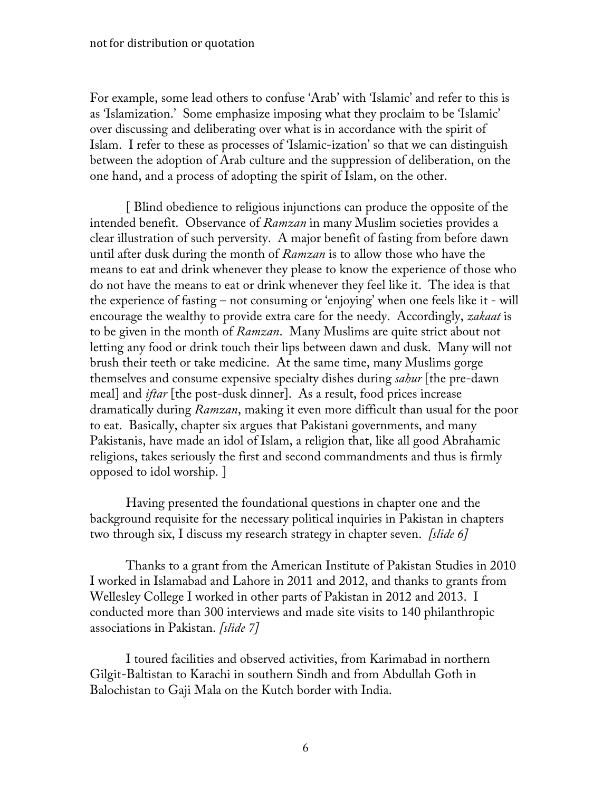For example, some lead others to confuse 'Arab' with 'Islamic' and refer to this is as 'Islamization.' Some emphasize imposing what they proclaim to be 'Islamic' over discussing and deliberating over what is in accordance with the spirit of Islam. I refer to these as processes of 'Islamic-ization' so that we can distinguish between the adoption of Arab culture and the suppression of deliberation, on the one hand, and a process of adopting the spirit of Islam, on the other.

[ Blind obedience to religious injunctions can produce the opposite of the intended benefit. Observance of *Ramzan* in many Muslim societies provides a clear illustration of such perversity. A major benefit of fasting from before dawn until after dusk during the month of *Ramzan* is to allow those who have the means to eat and drink whenever they please to know the experience of those who do not have the means to eat or drink whenever they feel like it. The idea is that the experience of fasting – not consuming or 'enjoying' when one feels like it - will encourage the wealthy to provide extra care for the needy. Accordingly, *zakaat* is to be given in the month of *Ramzan*. Many Muslims are quite strict about not letting any food or drink touch their lips between dawn and dusk. Many will not brush their teeth or take medicine. At the same time, many Muslims gorge themselves and consume expensive specialty dishes during *sahur* [the pre-dawn meal] and *iftar* [the post-dusk dinner]. As a result, food prices increase dramatically during *Ramzan*, making it even more difficult than usual for the poor to eat. Basically, chapter six argues that Pakistani governments, and many Pakistanis, have made an idol of Islam, a religion that, like all good Abrahamic religions, takes seriously the first and second commandments and thus is firmly opposed to idol worship. ]

Having presented the foundational questions in chapter one and the background requisite for the necessary political inquiries in Pakistan in chapters two through six, I discuss my research strategy in chapter seven. *[slide 6]* 

Thanks to a grant from the American Institute of Pakistan Studies in 2010 I worked in Islamabad and Lahore in 2011 and 2012, and thanks to grants from Wellesley College I worked in other parts of Pakistan in 2012 and 2013. I conducted more than 300 interviews and made site visits to 140 philanthropic associations in Pakistan. *[slide 7]* 

I toured facilities and observed activities, from Karimabad in northern Gilgit-Baltistan to Karachi in southern Sindh and from Abdullah Goth in Balochistan to Gaji Mala on the Kutch border with India.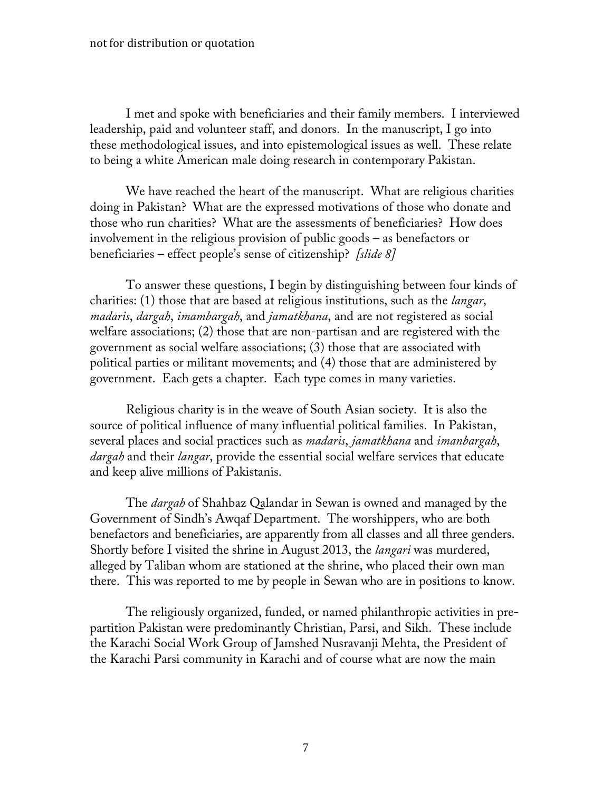I met and spoke with beneficiaries and their family members. I interviewed leadership, paid and volunteer staff, and donors. In the manuscript, I go into these methodological issues, and into epistemological issues as well. These relate to being a white American male doing research in contemporary Pakistan.

We have reached the heart of the manuscript. What are religious charities doing in Pakistan? What are the expressed motivations of those who donate and those who run charities? What are the assessments of beneficiaries? How does involvement in the religious provision of public goods – as benefactors or beneficiaries – effect people's sense of citizenship? *[slide 8]*

To answer these questions, I begin by distinguishing between four kinds of charities: (1) those that are based at religious institutions, such as the *langar*, *madaris*, *dargah*, *imambargah*, and *jamatkhana*, and are not registered as social welfare associations; (2) those that are non-partisan and are registered with the government as social welfare associations; (3) those that are associated with political parties or militant movements; and (4) those that are administered by government. Each gets a chapter. Each type comes in many varieties.

Religious charity is in the weave of South Asian society. It is also the source of political influence of many influential political families. In Pakistan, several places and social practices such as *madaris*, *jamatkhana* and *imanbargah*, *dargah* and their *langar*, provide the essential social welfare services that educate and keep alive millions of Pakistanis.

The *dargah* of Shahbaz Qalandar in Sewan is owned and managed by the Government of Sindh's Awqaf Department. The worshippers, who are both benefactors and beneficiaries, are apparently from all classes and all three genders. Shortly before I visited the shrine in August 2013, the *langari* was murdered, alleged by Taliban whom are stationed at the shrine, who placed their own man there. This was reported to me by people in Sewan who are in positions to know.

The religiously organized, funded, or named philanthropic activities in prepartition Pakistan were predominantly Christian, Parsi, and Sikh. These include the Karachi Social Work Group of Jamshed Nusravanji Mehta, the President of the Karachi Parsi community in Karachi and of course what are now the main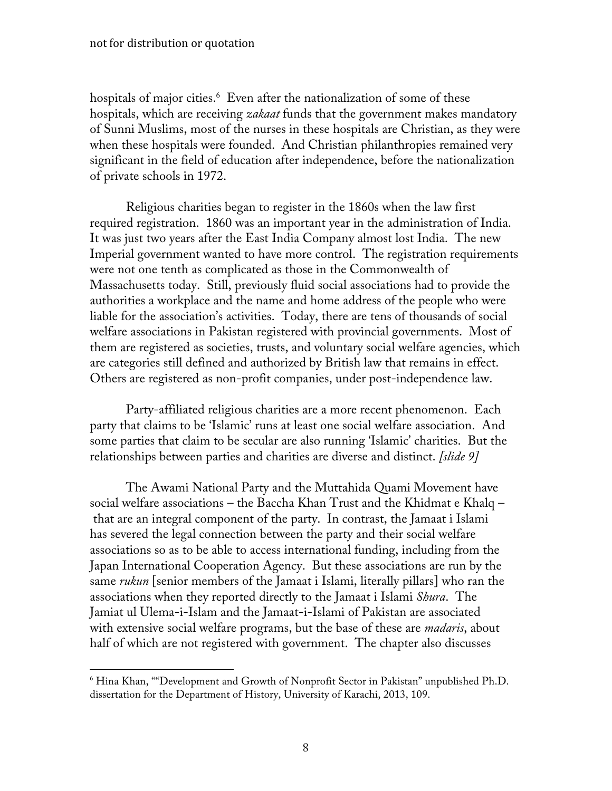hospitals of major cities.<sup>6</sup> Even after the nationalization of some of these hospitals, which are receiving *zakaat* funds that the government makes mandatory of Sunni Muslims, most of the nurses in these hospitals are Christian, as they were when these hospitals were founded. And Christian philanthropies remained very significant in the field of education after independence, before the nationalization of private schools in 1972.

Religious charities began to register in the 1860s when the law first required registration. 1860 was an important year in the administration of India. It was just two years after the East India Company almost lost India. The new Imperial government wanted to have more control. The registration requirements were not one tenth as complicated as those in the Commonwealth of Massachusetts today. Still, previously fluid social associations had to provide the authorities a workplace and the name and home address of the people who were liable for the association's activities. Today, there are tens of thousands of social welfare associations in Pakistan registered with provincial governments. Most of them are registered as societies, trusts, and voluntary social welfare agencies, which are categories still defined and authorized by British law that remains in effect. Others are registered as non-profit companies, under post-independence law.

Party-affiliated religious charities are a more recent phenomenon. Each party that claims to be 'Islamic' runs at least one social welfare association. And some parties that claim to be secular are also running 'Islamic' charities. But the relationships between parties and charities are diverse and distinct. *[slide 9]*

The Awami National Party and the Muttahida Quami Movement have social welfare associations – the Baccha Khan Trust and the Khidmat e Khalq – that are an integral component of the party. In contrast, the Jamaat i Islami has severed the legal connection between the party and their social welfare associations so as to be able to access international funding, including from the Japan International Cooperation Agency. But these associations are run by the same *rukun* [senior members of the Jamaat i Islami, literally pillars] who ran the associations when they reported directly to the Jamaat i Islami *Shura*. The Jamiat ul Ulema-i-Islam and the Jamaat-i-Islami of Pakistan are associated with extensive social welfare programs, but the base of these are *madaris*, about half of which are not registered with government. The chapter also discusses

<sup>6</sup> Hina Khan, ""Development and Growth of Nonprofit Sector in Pakistan" unpublished Ph.D. dissertation for the Department of History, University of Karachi, 2013, 109.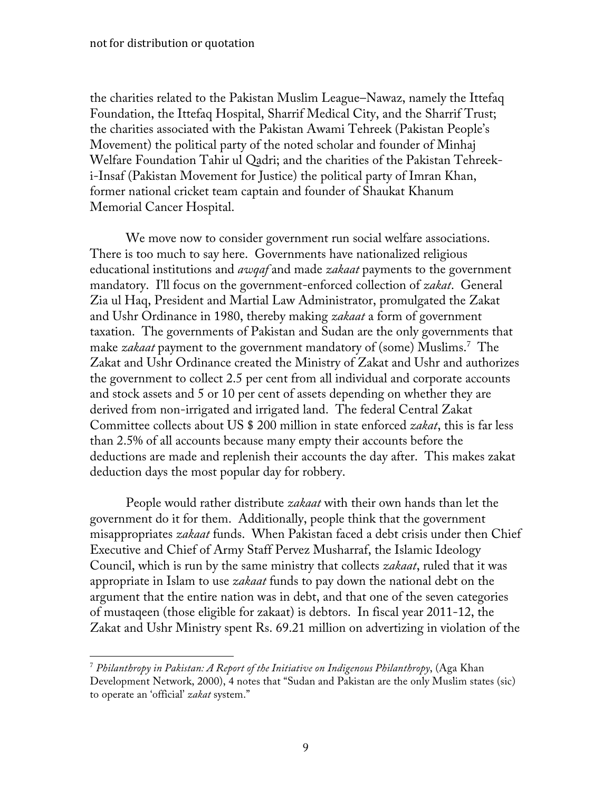the charities related to the Pakistan Muslim League–Nawaz, namely the Ittefaq Foundation, the Ittefaq Hospital, Sharrif Medical City, and the Sharrif Trust; the charities associated with the Pakistan Awami Tehreek (Pakistan People's Movement) the political party of the noted scholar and founder of Minhaj Welfare Foundation Tahir ul Qadri; and the charities of the Pakistan Tehreeki-Insaf (Pakistan Movement for Justice) the political party of Imran Khan, former national cricket team captain and founder of Shaukat Khanum Memorial Cancer Hospital.

We move now to consider government run social welfare associations. There is too much to say here. Governments have nationalized religious educational institutions and *awqaf* and made *zakaat* payments to the government mandatory. I'll focus on the government-enforced collection of *zakat*. General Zia ul Haq, President and Martial Law Administrator, promulgated the Zakat and Ushr Ordinance in 1980, thereby making *zakaat* a form of government taxation. The governments of Pakistan and Sudan are the only governments that make *zakaat* payment to the government mandatory of (some) Muslims.7 The Zakat and Ushr Ordinance created the Ministry of Zakat and Ushr and authorizes the government to collect 2.5 per cent from all individual and corporate accounts and stock assets and 5 or 10 per cent of assets depending on whether they are derived from non-irrigated and irrigated land. The federal Central Zakat Committee collects about US \$ 200 million in state enforced *zakat*, this is far less than 2.5% of all accounts because many empty their accounts before the deductions are made and replenish their accounts the day after. This makes zakat deduction days the most popular day for robbery.

People would rather distribute *zakaat* with their own hands than let the government do it for them. Additionally, people think that the government misappropriates *zakaat* funds. When Pakistan faced a debt crisis under then Chief Executive and Chief of Army Staff Pervez Musharraf, the Islamic Ideology Council, which is run by the same ministry that collects *zakaat*, ruled that it was appropriate in Islam to use *zakaat* funds to pay down the national debt on the argument that the entire nation was in debt, and that one of the seven categories of mustaqeen (those eligible for zakaat) is debtors. In fiscal year 2011-12, the Zakat and Ushr Ministry spent Rs. 69.21 million on advertizing in violation of the

<sup>7</sup> *Philanthropy in Pakistan: A Report of the Initiative on Indigenous Philanthropy*, (Aga Khan Development Network, 2000), 4 notes that "Sudan and Pakistan are the only Muslim states (sic) to operate an 'official' *zakat* system."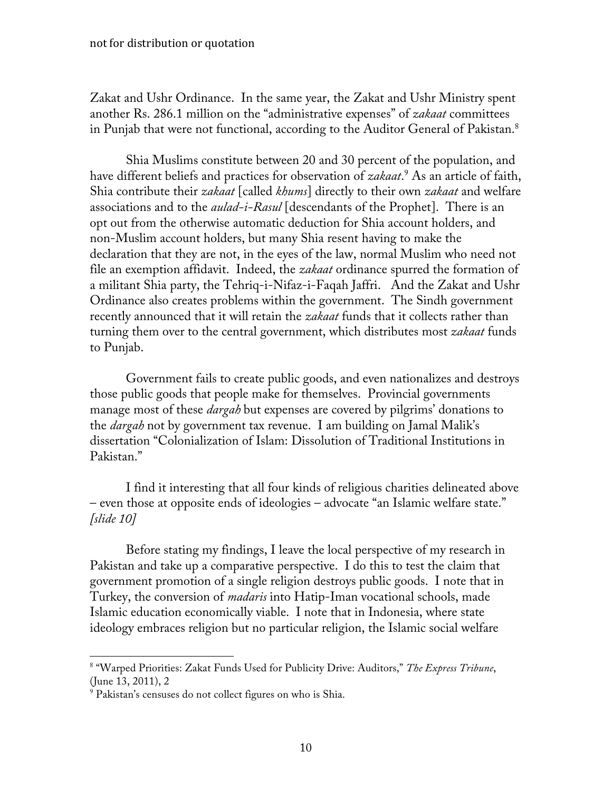Zakat and Ushr Ordinance. In the same year, the Zakat and Ushr Ministry spent another Rs. 286.1 million on the "administrative expenses" of *zakaat* committees in Punjab that were not functional, according to the Auditor General of Pakistan.<sup>8</sup>

Shia Muslims constitute between 20 and 30 percent of the population, and have different beliefs and practices for observation of *zakaat*. <sup>9</sup> As an article of faith, Shia contribute their *zakaat* [called *khums*] directly to their own *zakaat* and welfare associations and to the *aulad-i-Rasul* [descendants of the Prophet]. There is an opt out from the otherwise automatic deduction for Shia account holders, and non-Muslim account holders, but many Shia resent having to make the declaration that they are not, in the eyes of the law, normal Muslim who need not file an exemption affidavit. Indeed, the *zakaat* ordinance spurred the formation of a militant Shia party, the Tehriq-i-Nifaz-i-Faqah Jaffri. And the Zakat and Ushr Ordinance also creates problems within the government. The Sindh government recently announced that it will retain the *zakaat* funds that it collects rather than turning them over to the central government, which distributes most *zakaat* funds to Punjab.

Government fails to create public goods, and even nationalizes and destroys those public goods that people make for themselves. Provincial governments manage most of these *dargah* but expenses are covered by pilgrims' donations to the *dargah* not by government tax revenue. I am building on Jamal Malik's dissertation "Colonialization of Islam: Dissolution of Traditional Institutions in Pakistan."

I find it interesting that all four kinds of religious charities delineated above – even those at opposite ends of ideologies – advocate "an Islamic welfare state." *[slide 10]* 

Before stating my findings, I leave the local perspective of my research in Pakistan and take up a comparative perspective. I do this to test the claim that government promotion of a single religion destroys public goods. I note that in Turkey, the conversion of *madaris* into Hatip-Iman vocational schools, made Islamic education economically viable. I note that in Indonesia, where state ideology embraces religion but no particular religion, the Islamic social welfare

 

<sup>8</sup> "Warped Priorities: Zakat Funds Used for Publicity Drive: Auditors," *The Express Tribune*, (June 13, 2011), 2

<sup>&</sup>lt;sup>9</sup> Pakistan's censuses do not collect figures on who is Shia.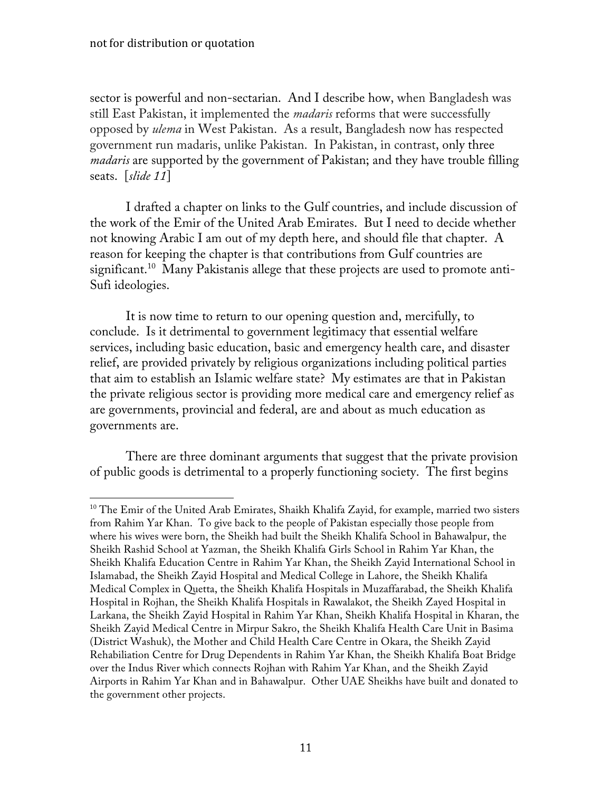sector is powerful and non-sectarian. And I describe how, when Bangladesh was still East Pakistan, it implemented the *madaris* reforms that were successfully opposed by *ulema* in West Pakistan. As a result, Bangladesh now has respected government run madaris, unlike Pakistan. In Pakistan, in contrast, only three *madaris* are supported by the government of Pakistan; and they have trouble filling seats. [*slide 11*]

I drafted a chapter on links to the Gulf countries, and include discussion of the work of the Emir of the United Arab Emirates. But I need to decide whether not knowing Arabic I am out of my depth here, and should file that chapter. A reason for keeping the chapter is that contributions from Gulf countries are significant.10 Many Pakistanis allege that these projects are used to promote anti-Sufi ideologies.

It is now time to return to our opening question and, mercifully, to conclude. Is it detrimental to government legitimacy that essential welfare services, including basic education, basic and emergency health care, and disaster relief, are provided privately by religious organizations including political parties that aim to establish an Islamic welfare state? My estimates are that in Pakistan the private religious sector is providing more medical care and emergency relief as are governments, provincial and federal, are and about as much education as governments are.

There are three dominant arguments that suggest that the private provision of public goods is detrimental to a properly functioning society. The first begins

<sup>&</sup>lt;sup>10</sup> The Emir of the United Arab Emirates, Shaikh Khalifa Zayid, for example, married two sisters from Rahim Yar Khan. To give back to the people of Pakistan especially those people from where his wives were born, the Sheikh had built the Sheikh Khalifa School in Bahawalpur, the Sheikh Rashid School at Yazman, the Sheikh Khalifa Girls School in Rahim Yar Khan, the Sheikh Khalifa Education Centre in Rahim Yar Khan, the Sheikh Zayid International School in Islamabad, the Sheikh Zayid Hospital and Medical College in Lahore, the Sheikh Khalifa Medical Complex in Quetta, the Sheikh Khalifa Hospitals in Muzaffarabad, the Sheikh Khalifa Hospital in Rojhan, the Sheikh Khalifa Hospitals in Rawalakot, the Sheikh Zayed Hospital in Larkana, the Sheikh Zayid Hospital in Rahim Yar Khan, Sheikh Khalifa Hospital in Kharan, the Sheikh Zayid Medical Centre in Mirpur Sakro, the Sheikh Khalifa Health Care Unit in Basima (District Washuk), the Mother and Child Health Care Centre in Okara, the Sheikh Zayid Rehabiliation Centre for Drug Dependents in Rahim Yar Khan, the Sheikh Khalifa Boat Bridge over the Indus River which connects Rojhan with Rahim Yar Khan, and the Sheikh Zayid Airports in Rahim Yar Khan and in Bahawalpur. Other UAE Sheikhs have built and donated to the government other projects.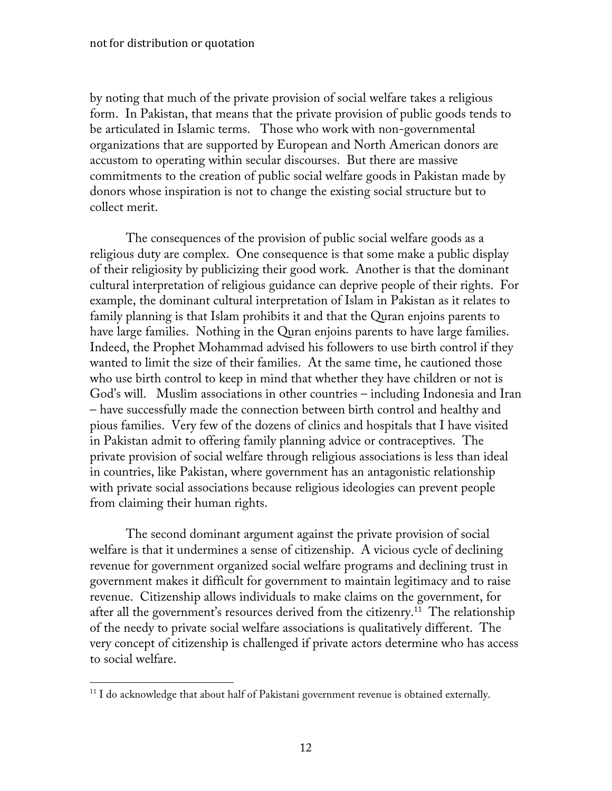by noting that much of the private provision of social welfare takes a religious form. In Pakistan, that means that the private provision of public goods tends to be articulated in Islamic terms. Those who work with non-governmental organizations that are supported by European and North American donors are accustom to operating within secular discourses. But there are massive commitments to the creation of public social welfare goods in Pakistan made by donors whose inspiration is not to change the existing social structure but to collect merit.

The consequences of the provision of public social welfare goods as a religious duty are complex. One consequence is that some make a public display of their religiosity by publicizing their good work. Another is that the dominant cultural interpretation of religious guidance can deprive people of their rights. For example, the dominant cultural interpretation of Islam in Pakistan as it relates to family planning is that Islam prohibits it and that the Quran enjoins parents to have large families. Nothing in the Quran enjoins parents to have large families. Indeed, the Prophet Mohammad advised his followers to use birth control if they wanted to limit the size of their families. At the same time, he cautioned those who use birth control to keep in mind that whether they have children or not is God's will. Muslim associations in other countries – including Indonesia and Iran – have successfully made the connection between birth control and healthy and pious families. Very few of the dozens of clinics and hospitals that I have visited in Pakistan admit to offering family planning advice or contraceptives. The private provision of social welfare through religious associations is less than ideal in countries, like Pakistan, where government has an antagonistic relationship with private social associations because religious ideologies can prevent people from claiming their human rights.

The second dominant argument against the private provision of social welfare is that it undermines a sense of citizenship. A vicious cycle of declining revenue for government organized social welfare programs and declining trust in government makes it difficult for government to maintain legitimacy and to raise revenue. Citizenship allows individuals to make claims on the government, for after all the government's resources derived from the citizenry.<sup>11</sup> The relationship of the needy to private social welfare associations is qualitatively different. The very concept of citizenship is challenged if private actors determine who has access to social welfare.

 

 $11$  I do acknowledge that about half of Pakistani government revenue is obtained externally.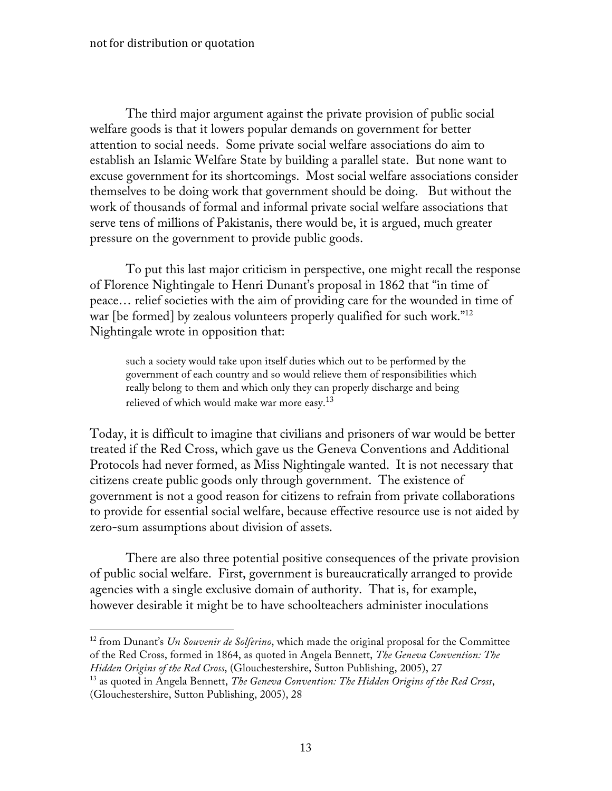The third major argument against the private provision of public social welfare goods is that it lowers popular demands on government for better attention to social needs. Some private social welfare associations do aim to establish an Islamic Welfare State by building a parallel state. But none want to excuse government for its shortcomings. Most social welfare associations consider themselves to be doing work that government should be doing. But without the work of thousands of formal and informal private social welfare associations that serve tens of millions of Pakistanis, there would be, it is argued, much greater pressure on the government to provide public goods.

To put this last major criticism in perspective, one might recall the response of Florence Nightingale to Henri Dunant's proposal in 1862 that "in time of peace… relief societies with the aim of providing care for the wounded in time of war [be formed] by zealous volunteers properly qualified for such work."<sup>12</sup> Nightingale wrote in opposition that:

such a society would take upon itself duties which out to be performed by the government of each country and so would relieve them of responsibilities which really belong to them and which only they can properly discharge and being relieved of which would make war more easy.<sup>13</sup>

Today, it is difficult to imagine that civilians and prisoners of war would be better treated if the Red Cross, which gave us the Geneva Conventions and Additional Protocols had never formed, as Miss Nightingale wanted. It is not necessary that citizens create public goods only through government. The existence of government is not a good reason for citizens to refrain from private collaborations to provide for essential social welfare, because effective resource use is not aided by zero-sum assumptions about division of assets.

There are also three potential positive consequences of the private provision of public social welfare. First, government is bureaucratically arranged to provide agencies with a single exclusive domain of authority. That is, for example, however desirable it might be to have schoolteachers administer inoculations

<sup>12</sup> from Dunant's *Un Souvenir de Solferino*, which made the original proposal for the Committee of the Red Cross, formed in 1864, as quoted in Angela Bennett, *The Geneva Convention: The Hidden Origins of the Red Cross*, (Glouchestershire, Sutton Publishing, 2005), 27

<sup>13</sup> as quoted in Angela Bennett, *The Geneva Convention: The Hidden Origins of the Red Cross*, (Glouchestershire, Sutton Publishing, 2005), 28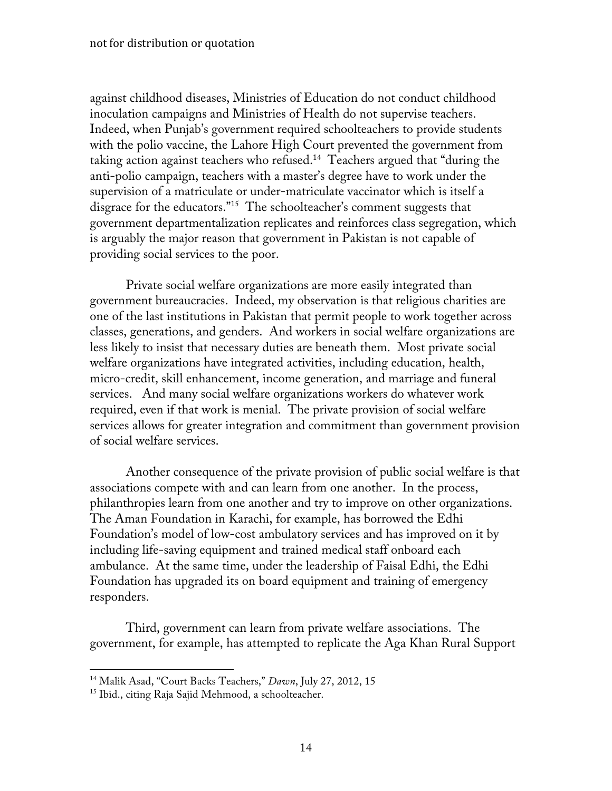against childhood diseases, Ministries of Education do not conduct childhood inoculation campaigns and Ministries of Health do not supervise teachers. Indeed, when Punjab's government required schoolteachers to provide students with the polio vaccine, the Lahore High Court prevented the government from taking action against teachers who refused.14 Teachers argued that "during the anti-polio campaign, teachers with a master's degree have to work under the supervision of a matriculate or under-matriculate vaccinator which is itself a disgrace for the educators."15 The schoolteacher's comment suggests that government departmentalization replicates and reinforces class segregation, which is arguably the major reason that government in Pakistan is not capable of providing social services to the poor.

Private social welfare organizations are more easily integrated than government bureaucracies. Indeed, my observation is that religious charities are one of the last institutions in Pakistan that permit people to work together across classes, generations, and genders. And workers in social welfare organizations are less likely to insist that necessary duties are beneath them. Most private social welfare organizations have integrated activities, including education, health, micro-credit, skill enhancement, income generation, and marriage and funeral services. And many social welfare organizations workers do whatever work required, even if that work is menial. The private provision of social welfare services allows for greater integration and commitment than government provision of social welfare services.

Another consequence of the private provision of public social welfare is that associations compete with and can learn from one another. In the process, philanthropies learn from one another and try to improve on other organizations. The Aman Foundation in Karachi, for example, has borrowed the Edhi Foundation's model of low-cost ambulatory services and has improved on it by including life-saving equipment and trained medical staff onboard each ambulance. At the same time, under the leadership of Faisal Edhi, the Edhi Foundation has upgraded its on board equipment and training of emergency responders.

Third, government can learn from private welfare associations. The government, for example, has attempted to replicate the Aga Khan Rural Support

 

<sup>14</sup> Malik Asad, "Court Backs Teachers," *Dawn*, July 27, 2012, 15

<sup>&</sup>lt;sup>15</sup> Ibid., citing Raja Sajid Mehmood, a schoolteacher.